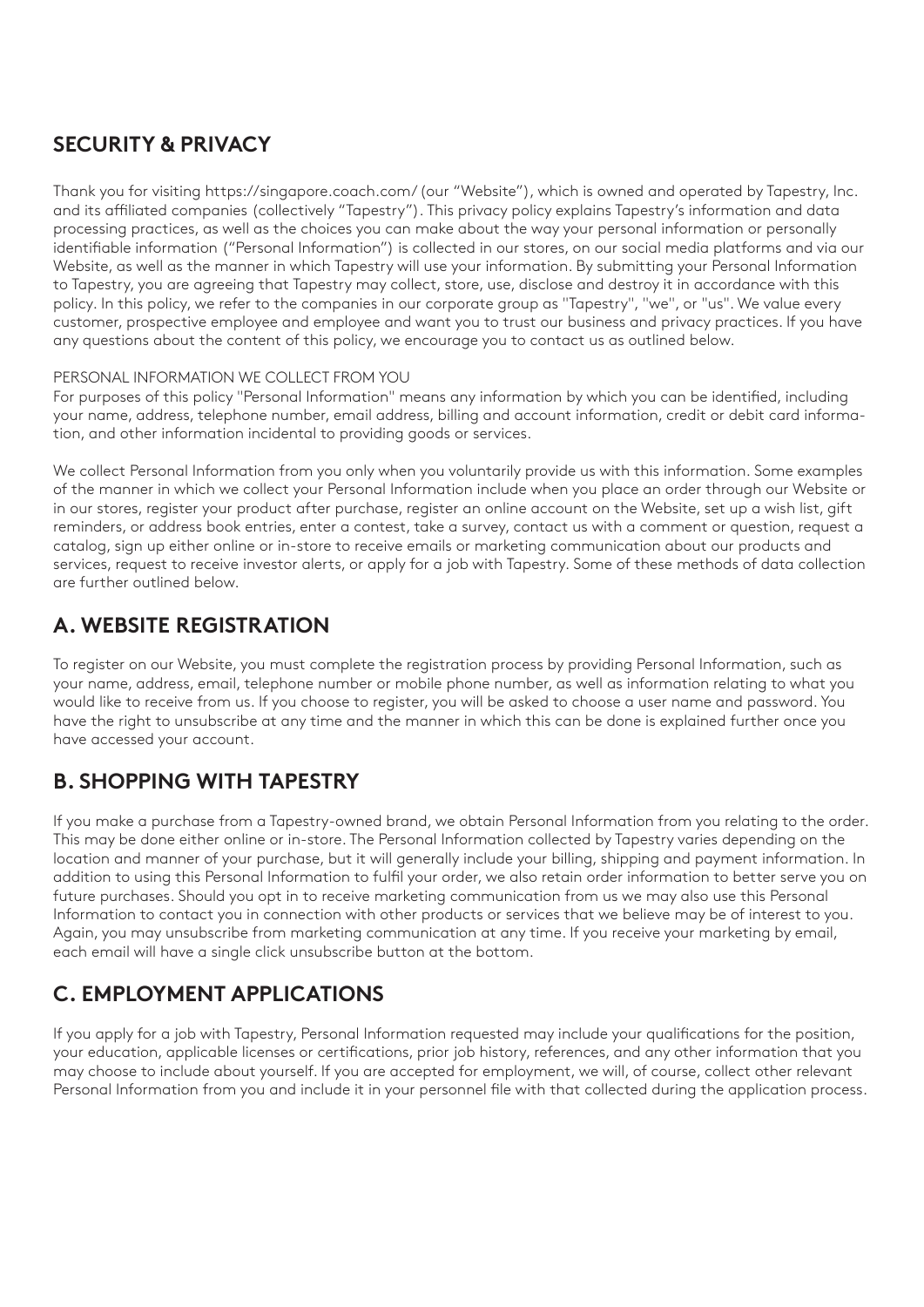## **SECURITY & PRIVACY**

Thank you for visiting https://singapore.coach.com/ (our "Website"), which is owned and operated by Tapestry, Inc. and its affiliated companies (collectively "Tapestry"). This privacy policy explains Tapestry's information and data processing practices, as well as the choices you can make about the way your personal information or personally identifiable information ("Personal Information") is collected in our stores, on our social media platforms and via our Website, as well as the manner in which Tapestry will use your information. By submitting your Personal Information to Tapestry, you are agreeing that Tapestry may collect, store, use, disclose and destroy it in accordance with this policy. In this policy, we refer to the companies in our corporate group as "Tapestry", "we", or "us". We value every customer, prospective employee and employee and want you to trust our business and privacy practices. If you have any questions about the content of this policy, we encourage you to contact us as outlined below.

#### PERSONAL INFORMATION WE COLLECT FROM YOU

For purposes of this policy "Personal Information" means any information by which you can be identified, including your name, address, telephone number, email address, billing and account information, credit or debit card information, and other information incidental to providing goods or services.

We collect Personal Information from you only when you voluntarily provide us with this information. Some examples of the manner in which we collect your Personal Information include when you place an order through our Website or in our stores, register your product after purchase, register an online account on the Website, set up a wish list, gift reminders, or address book entries, enter a contest, take a survey, contact us with a comment or question, request a catalog, sign up either online or in-store to receive emails or marketing communication about our products and services, request to receive investor alerts, or apply for a job with Tapestry. Some of these methods of data collection are further outlined below.

## **A. WEBSITE REGISTRATION**

To register on our Website, you must complete the registration process by providing Personal Information, such as your name, address, email, telephone number or mobile phone number, as well as information relating to what you would like to receive from us. If you choose to register, you will be asked to choose a user name and password. You have the right to unsubscribe at any time and the manner in which this can be done is explained further once you have accessed your account.

## **B. SHOPPING WITH TAPESTRY**

If you make a purchase from a Tapestry-owned brand, we obtain Personal Information from you relating to the order. This may be done either online or in-store. The Personal Information collected by Tapestry varies depending on the location and manner of your purchase, but it will generally include your billing, shipping and payment information. In addition to using this Personal Information to fulfil your order, we also retain order information to better serve you on future purchases. Should you opt in to receive marketing communication from us we may also use this Personal Information to contact you in connection with other products or services that we believe may be of interest to you. Again, you may unsubscribe from marketing communication at any time. If you receive your marketing by email, each email will have a single click unsubscribe button at the bottom.

## **C. EMPLOYMENT APPLICATIONS**

If you apply for a job with Tapestry, Personal Information requested may include your qualifications for the position, your education, applicable licenses or certifications, prior job history, references, and any other information that you may choose to include about yourself. If you are accepted for employment, we will, of course, collect other relevant Personal Information from you and include it in your personnel file with that collected during the application process.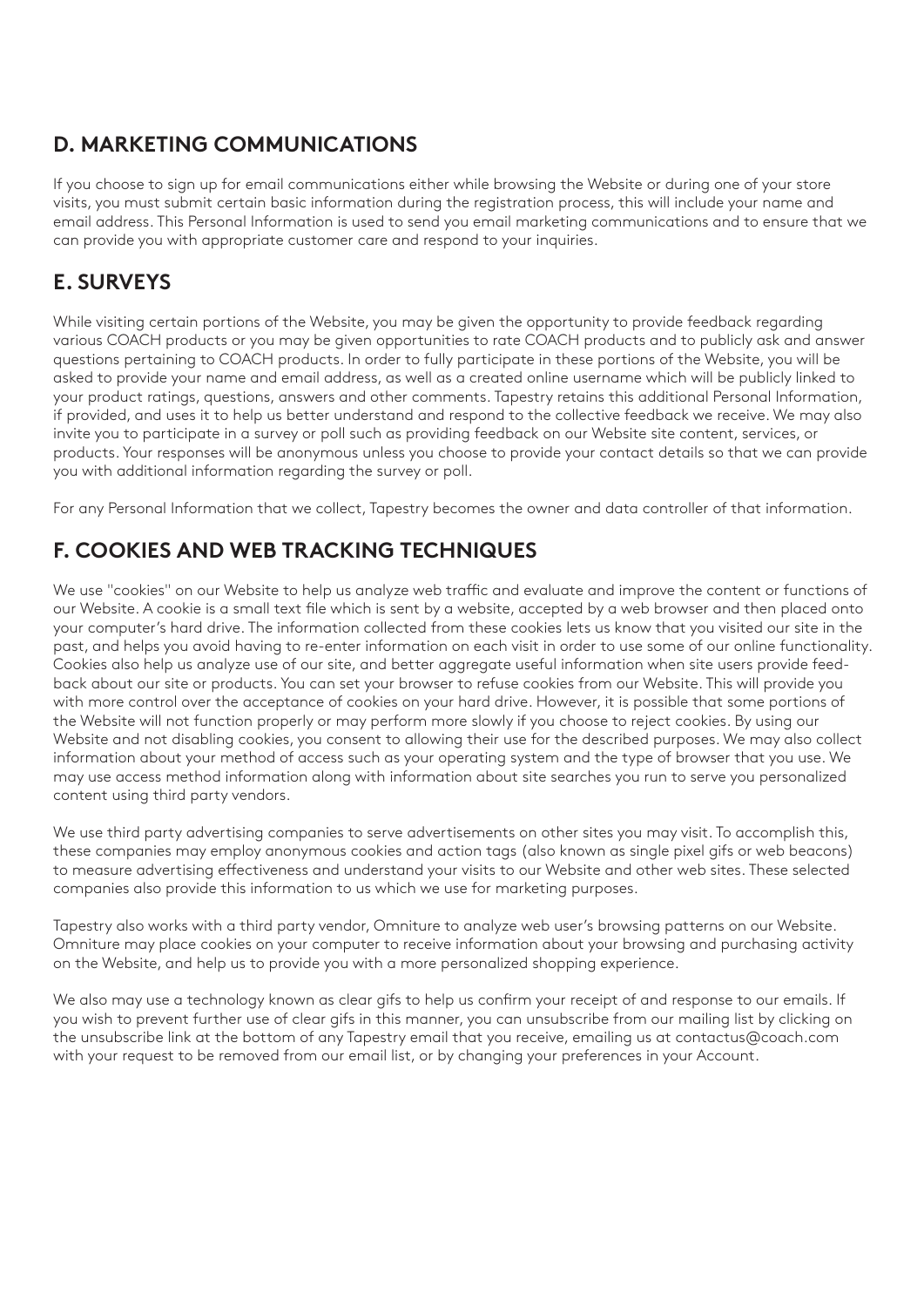# **D. MARKETING COMMUNICATIONS**

If you choose to sign up for email communications either while browsing the Website or during one of your store visits, you must submit certain basic information during the registration process, this will include your name and email address. This Personal Information is used to send you email marketing communications and to ensure that we can provide you with appropriate customer care and respond to your inquiries.

# **E. SURVEYS**

While visiting certain portions of the Website, you may be given the opportunity to provide feedback regarding various COACH products or you may be given opportunities to rate COACH products and to publicly ask and answer questions pertaining to COACH products. In order to fully participate in these portions of the Website, you will be asked to provide your name and email address, as well as a created online username which will be publicly linked to your product ratings, questions, answers and other comments. Tapestry retains this additional Personal Information, if provided, and uses it to help us better understand and respond to the collective feedback we receive. We may also invite you to participate in a survey or poll such as providing feedback on our Website site content, services, or products. Your responses will be anonymous unless you choose to provide your contact details so that we can provide you with additional information regarding the survey or poll.

For any Personal Information that we collect, Tapestry becomes the owner and data controller of that information.

# **F. COOKIES AND WEB TRACKING TECHNIQUES**

We use "cookies" on our Website to help us analyze web traffic and evaluate and improve the content or functions of our Website. A cookie is a small text file which is sent by a website, accepted by a web browser and then placed onto your computer's hard drive. The information collected from these cookies lets us know that you visited our site in the past, and helps you avoid having to re-enter information on each visit in order to use some of our online functionality. Cookies also help us analyze use of our site, and better aggregate useful information when site users provide feedback about our site or products. You can set your browser to refuse cookies from our Website. This will provide you with more control over the acceptance of cookies on your hard drive. However, it is possible that some portions of the Website will not function properly or may perform more slowly if you choose to reject cookies. By using our Website and not disabling cookies, you consent to allowing their use for the described purposes. We may also collect information about your method of access such as your operating system and the type of browser that you use. We may use access method information along with information about site searches you run to serve you personalized content using third party vendors.

We use third party advertising companies to serve advertisements on other sites you may visit. To accomplish this, these companies may employ anonymous cookies and action tags (also known as single pixel gifs or web beacons) to measure advertising effectiveness and understand your visits to our Website and other web sites. These selected companies also provide this information to us which we use for marketing purposes.

Tapestry also works with a third party vendor, Omniture to analyze web user's browsing patterns on our Website. Omniture may place cookies on your computer to receive information about your browsing and purchasing activity on the Website, and help us to provide you with a more personalized shopping experience.

We also may use a technology known as clear gifs to help us confirm your receipt of and response to our emails. If you wish to prevent further use of clear gifs in this manner, you can unsubscribe from our mailing list by clicking on the unsubscribe link at the bottom of any Tapestry email that you receive, emailing us at contactus@coach.com with your request to be removed from our email list, or by changing your preferences in your Account.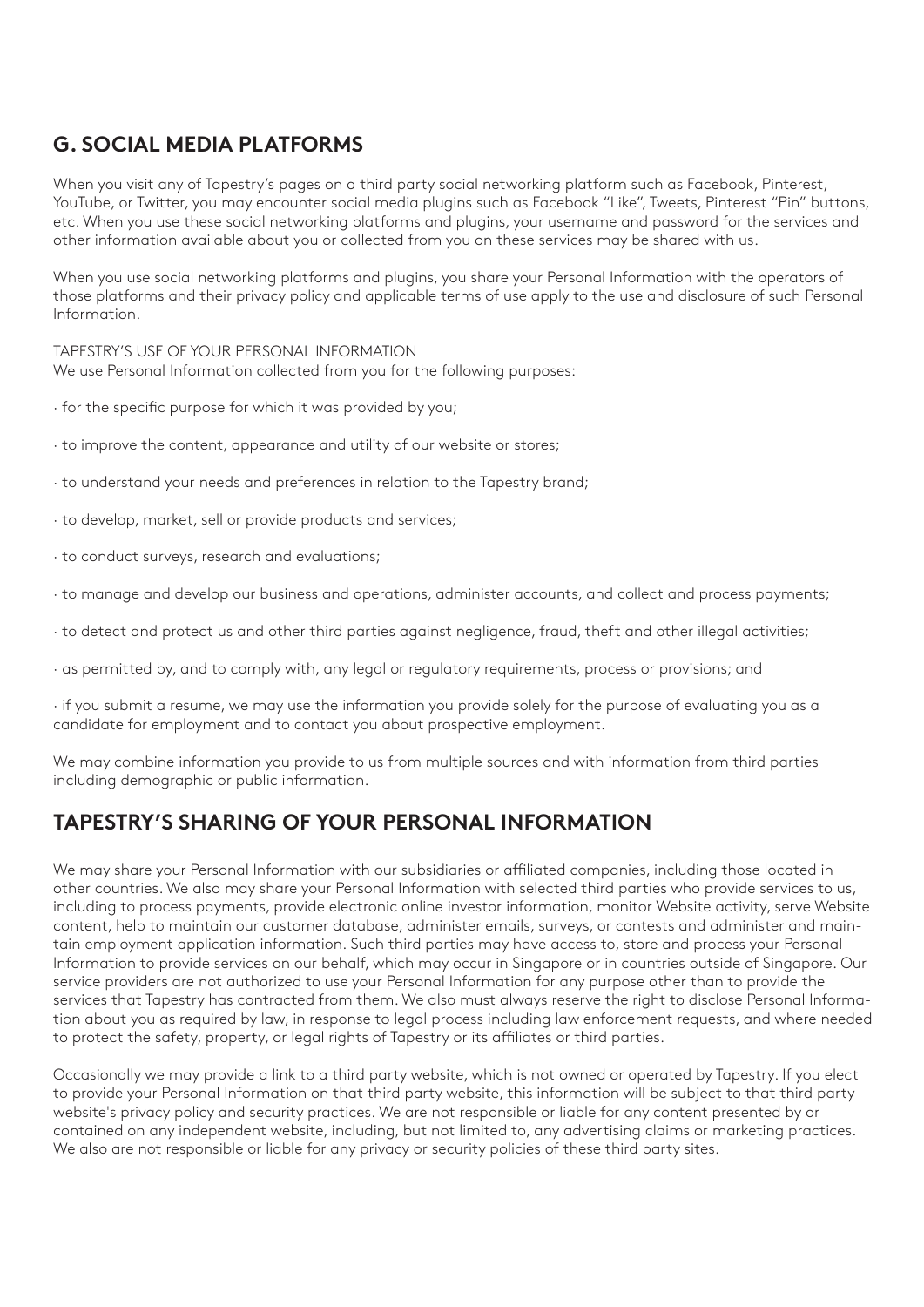## **G. SOCIAL MEDIA PLATFORMS**

When you visit any of Tapestry's pages on a third party social networking platform such as Facebook, Pinterest, YouTube, or Twitter, you may encounter social media plugins such as Facebook "Like", Tweets, Pinterest "Pin" buttons, etc. When you use these social networking platforms and plugins, your username and password for the services and other information available about you or collected from you on these services may be shared with us.

When you use social networking platforms and plugins, you share your Personal Information with the operators of those platforms and their privacy policy and applicable terms of use apply to the use and disclosure of such Personal Information.

TAPESTRY'S USE OF YOUR PERSONAL INFORMATION We use Personal Information collected from you for the following purposes:

- · for the specific purpose for which it was provided by you;
- · to improve the content, appearance and utility of our website or stores;
- · to understand your needs and preferences in relation to the Tapestry brand;
- · to develop, market, sell or provide products and services;
- · to conduct surveys, research and evaluations;
- · to manage and develop our business and operations, administer accounts, and collect and process payments;
- · to detect and protect us and other third parties against negligence, fraud, theft and other illegal activities;
- · as permitted by, and to comply with, any legal or regulatory requirements, process or provisions; and

· if you submit a resume, we may use the information you provide solely for the purpose of evaluating you as a candidate for employment and to contact you about prospective employment.

We may combine information you provide to us from multiple sources and with information from third parties including demographic or public information.

#### **TAPESTRY'S SHARING OF YOUR PERSONAL INFORMATION**

We may share your Personal Information with our subsidiaries or affiliated companies, including those located in other countries. We also may share your Personal Information with selected third parties who provide services to us, including to process payments, provide electronic online investor information, monitor Website activity, serve Website content, help to maintain our customer database, administer emails, surveys, or contests and administer and maintain employment application information. Such third parties may have access to, store and process your Personal Information to provide services on our behalf, which may occur in Singapore or in countries outside of Singapore. Our service providers are not authorized to use your Personal Information for any purpose other than to provide the services that Tapestry has contracted from them. We also must always reserve the right to disclose Personal Information about you as required by law, in response to legal process including law enforcement requests, and where needed to protect the safety, property, or legal rights of Tapestry or its affiliates or third parties.

Occasionally we may provide a link to a third party website, which is not owned or operated by Tapestry. If you elect to provide your Personal Information on that third party website, this information will be subject to that third party website's privacy policy and security practices. We are not responsible or liable for any content presented by or contained on any independent website, including, but not limited to, any advertising claims or marketing practices. We also are not responsible or liable for any privacy or security policies of these third party sites.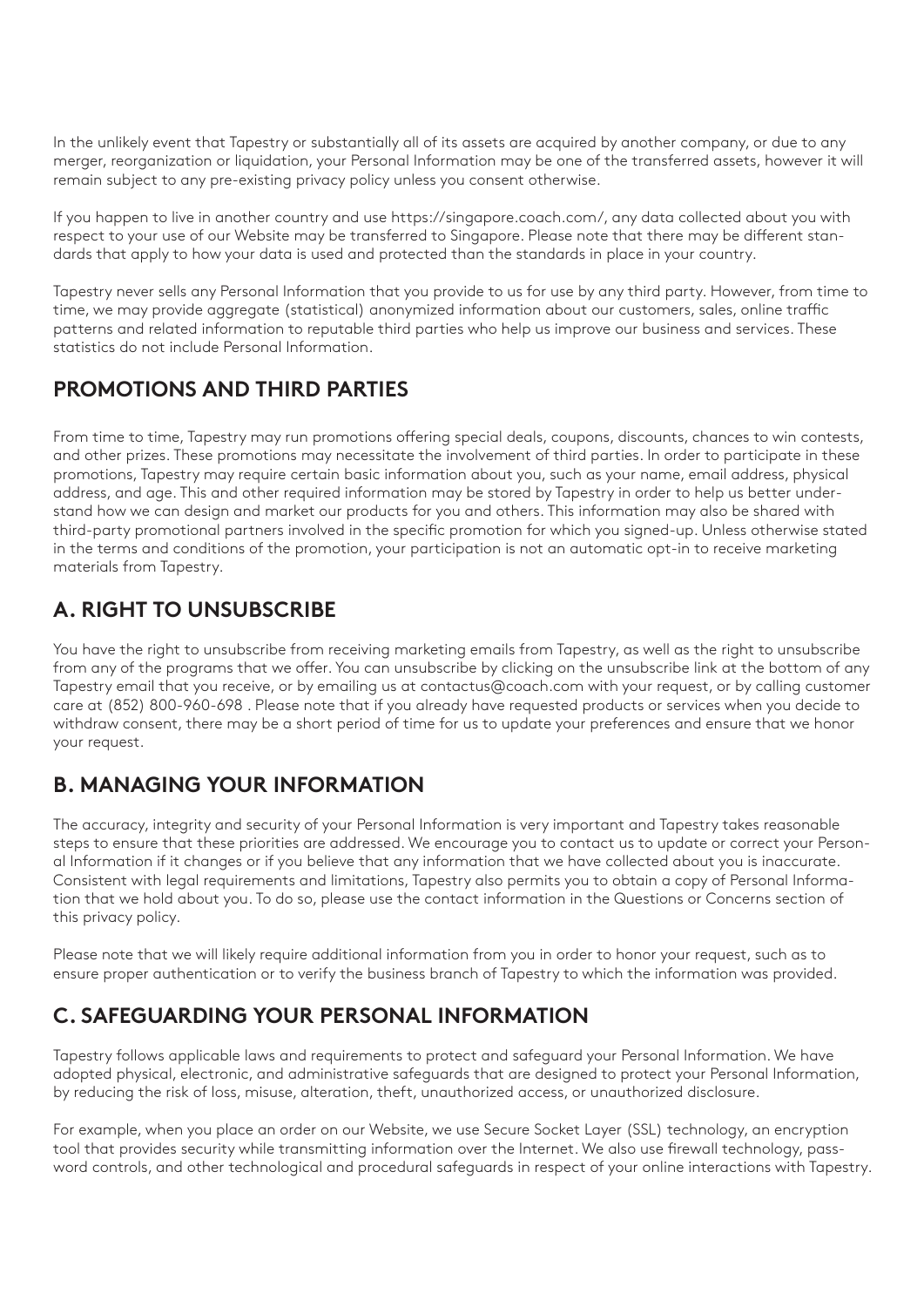In the unlikely event that Tapestry or substantially all of its assets are acquired by another company, or due to any merger, reorganization or liquidation, your Personal Information may be one of the transferred assets, however it will remain subject to any pre-existing privacy policy unless you consent otherwise.

If you happen to live in another country and use https://singapore.coach.com/, any data collected about you with respect to your use of our Website may be transferred to Singapore. Please note that there may be different standards that apply to how your data is used and protected than the standards in place in your country.

Tapestry never sells any Personal Information that you provide to us for use by any third party. However, from time to time, we may provide aggregate (statistical) anonymized information about our customers, sales, online traffic patterns and related information to reputable third parties who help us improve our business and services. These statistics do not include Personal Information.

### **PROMOTIONS AND THIRD PARTIES**

From time to time, Tapestry may run promotions offering special deals, coupons, discounts, chances to win contests, and other prizes. These promotions may necessitate the involvement of third parties. In order to participate in these promotions, Tapestry may require certain basic information about you, such as your name, email address, physical address, and age. This and other required information may be stored by Tapestry in order to help us better understand how we can design and market our products for you and others. This information may also be shared with third-party promotional partners involved in the specific promotion for which you signed-up. Unless otherwise stated in the terms and conditions of the promotion, your participation is not an automatic opt-in to receive marketing materials from Tapestry.

# **A. RIGHT TO UNSUBSCRIBE**

You have the right to unsubscribe from receiving marketing emails from Tapestry, as well as the right to unsubscribe from any of the programs that we offer. You can unsubscribe by clicking on the unsubscribe link at the bottom of any Tapestry email that you receive, or by emailing us at contactus@coach.com with your request, or by calling customer care at (852) 800-960-698 . Please note that if you already have requested products or services when you decide to withdraw consent, there may be a short period of time for us to update your preferences and ensure that we honor your request.

## **B. MANAGING YOUR INFORMATION**

The accuracy, integrity and security of your Personal Information is very important and Tapestry takes reasonable steps to ensure that these priorities are addressed. We encourage you to contact us to update or correct your Personal Information if it changes or if you believe that any information that we have collected about you is inaccurate. Consistent with legal requirements and limitations, Tapestry also permits you to obtain a copy of Personal Information that we hold about you. To do so, please use the contact information in the Questions or Concerns section of this privacy policy.

Please note that we will likely require additional information from you in order to honor your request, such as to ensure proper authentication or to verify the business branch of Tapestry to which the information was provided.

# **C. SAFEGUARDING YOUR PERSONAL INFORMATION**

Tapestry follows applicable laws and requirements to protect and safeguard your Personal Information. We have adopted physical, electronic, and administrative safeguards that are designed to protect your Personal Information, by reducing the risk of loss, misuse, alteration, theft, unauthorized access, or unauthorized disclosure.

For example, when you place an order on our Website, we use Secure Socket Layer (SSL) technology, an encryption tool that provides security while transmitting information over the Internet. We also use firewall technology, password controls, and other technological and procedural safeguards in respect of your online interactions with Tapestry.